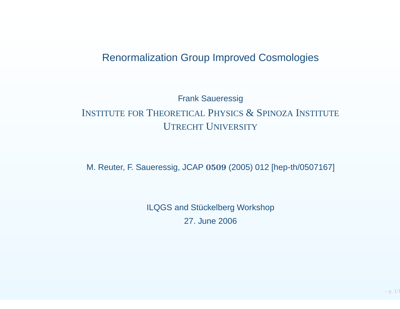### Renormalization Group Improved Cosmologies

# Frank SaueressigINSTITUTE FOR THEORETICAL PHYSICS  $\&$  Spinoza Institute **UTRECHT UNIVERSITY**

M. Reuter, F. Saueressig, JCAP <sup>0509</sup> (2005) <sup>012</sup> [hep-th/0507167]

ILQGS and Stückelberg Workshop27. June 2006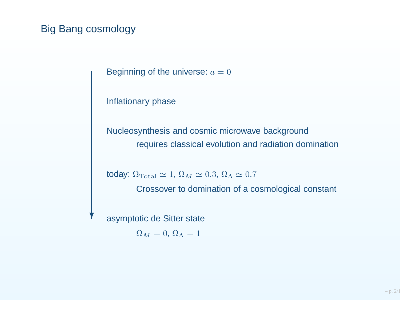## Big Bang cosmology

Y

Beginning of the universe:  $a=0$ 

Inflationary phase

Nucleosynthesis and cosmic microwave backgroundrequires classical evolution and radiation domination

today:  $\Omega_{\rm Total} \simeq 1, \, \Omega_M \simeq 0.3, \, \Omega_\Lambda \simeq 0.7$ 

Crossover to domination of <sup>a</sup> cosmological constant

asymptotic de Sitter state

 $\Omega_M = 0, \Omega_{\Lambda} = 1$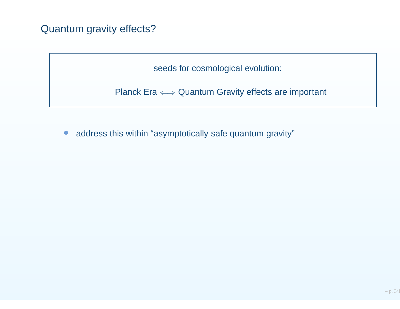# Quantum gravity effects?

seeds for cosmological evolution:

Planck Era  $\Longleftrightarrow$  Quantum Gravity effects are important

 $\bullet$ address this within "asymptotically safe quantum gravity"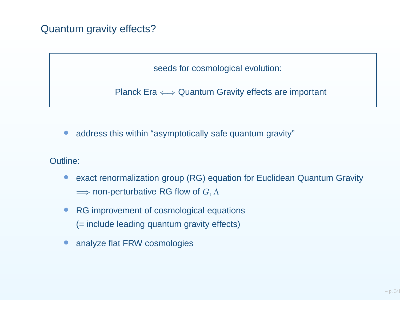# Quantum gravity effects?

seeds for cosmological evolution:

Planck Era  $\Longleftrightarrow$  Quantum Gravity effects are important

•address this within "asymptotically safe quantum gravity"

Outline:

- • exact renormalization group (RG) equation for Euclidean Quantum Gravity $\Longrightarrow$  non-perturbative RG flow of  $G,\Lambda$
- $\bullet$  RG improvement of cosmological equations(= include leading quantum gravity effects)
- •analyze flat FRW cosmologies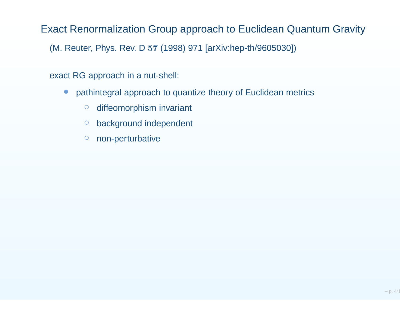Exact Renormalization Group approach to Euclidean Quantum Gravity

(M. Reuter, Phys. Rev. D <sup>57</sup> (1998) <sup>971</sup> [arXiv:hep-th/9605030])

exact RG approach in <sup>a</sup> nut-shell:

- $\bullet$  pathintegral approach to quantize theory of Euclidean metrics
	- $\circ$ diffeomorphism invariant
	- $\circ$ background independent
	- $\circ$ non-perturbative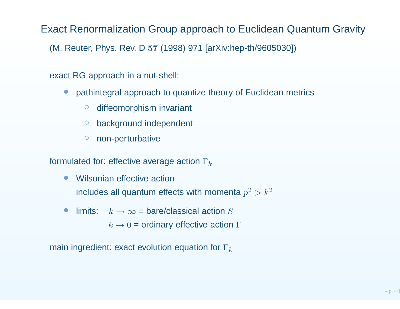Exact Renormalization Group approach to Euclidean Quantum Gravity

(M. Reuter, Phys. Rev. D <sup>57</sup> (1998) <sup>971</sup> [arXiv:hep-th/9605030])

exact RG approach in <sup>a</sup> nut-shell:

- $\bullet$  pathintegral approach to quantize theory of Euclidean metrics
	- $\circ$ diffeomorphism invariant
	- $\circ$ background independent
	- $\circ$ non-perturbative

formulated for: effective average action  $\Gamma_k$ 

- $\bullet$  Wilsonian effective actionincludes all quantum effects with momenta  $p^2 > k^2$
- $\bullet$ • limits:  $k \to \infty$  = bare/classical action  $S$ 
	- $k\rightarrow0$  = ordinary effective action  $\Gamma$

main ingredient: exact evolution equation for  $\Gamma_k$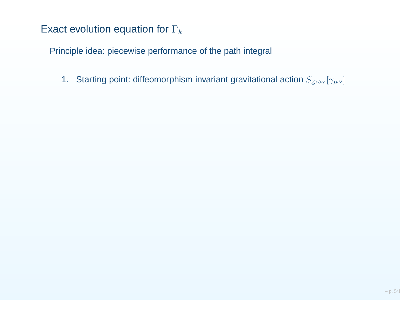Principle idea: piecewise performance of the path integral

1. Starting point: diffeomorphism invariant gravitational action  $S_{\textrm{grav}}[\gamma_{\mu\nu}]$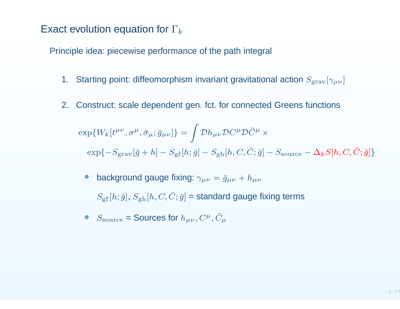Principle idea: piecewise performance of the path integral

- 1. Starting point: diffeomorphism invariant gravitational action  $S_{\textrm{grav}}[\gamma_{\mu\nu}]$
- 2. Construct: scale dependent gen. fct. for connected Greens functions

$$
\exp\{W_k[t^{\mu\nu}, \sigma^\mu, \bar{\sigma}_\mu; \bar{g}_{\mu\nu}]\} = \int \mathcal{D}h_{\mu\nu} \mathcal{D}C^\mu \mathcal{D}\bar{C}^\mu \times
$$
  
\n
$$
\exp\{-S_{\text{grav}}[\bar{g} + h] - S_{\text{gf}}[h; \bar{g}] - S_{\text{gh}}[h, C, \bar{C}; \bar{g}] - S_{\text{source}} - \Delta_k S[h, C, \bar{C}; \bar{g}]\}
$$

- •• background gauge fixing:  $\gamma_{\mu\nu} = \bar{g}_{\mu\nu} + h_{\mu\nu}$  $S_{\text{gf}}[h;\bar{g}], S_{\text{gh}}[h, C, \bar{C};\bar{g}]$  = standard gauge fixing terms
- ••  $S_{\text{source}}$  = Sources for  $h_{\mu\nu}, C^{\mu}, \bar{C}_{\mu}$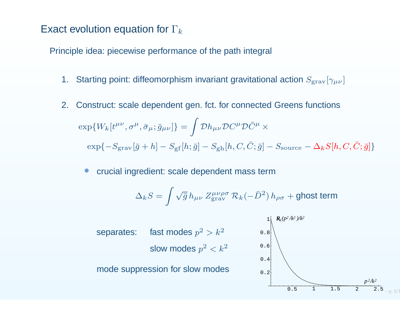Principle idea: piecewise performance of the path integral

- 1. Starting point: diffeomorphism invariant gravitational action  $S_{\textrm{grav}}[\gamma_{\mu\nu}]$
- 2. Construct: scale dependent gen. fct. for connected Greens functions $\exp\{W_k[t^{\mu\nu},\sigma^\mu,\bar\sigma_\mu;\bar g_{\mu\nu}]\}=\int {\cal D}h_{\mu\nu}{\cal D}C^\mu{\cal D}\bar C^\mu\times$  $\exp\{-S_\text{grav}[\bar{g}+h]-S_\text{gf}[h;\bar{g}]-S_\text{gh}[h,C,\bar{C};\bar{g}]-S_\text{source}-\Delta_k S[h,C,\bar{C};\bar{g}]\}$ 
	- •crucial ingredient: scale dependent mass term

$$
\Delta_k S = \int \sqrt{\bar{g}}\,h_{\mu\nu}\,Z_{\rm grav}^{\mu\nu\rho\sigma}\,\mathcal{R}_k (-\bar{D}^2)\,h_{\rho\sigma} + \text{ghost term}
$$

0.50.20.40.60.8 $2 \left( \frac{R_k (p^2/k^2)}{k^2} \right)$  $p^2/k$ *2 <sup>2</sup>* separates: fast modes  $p^2 > k^2$ slow modes  $p^2 < k^2$ mode suppression for slow modes

1

<sup>1</sup> 1.5 <sup>2</sup> 2.5

 $p. 6/1$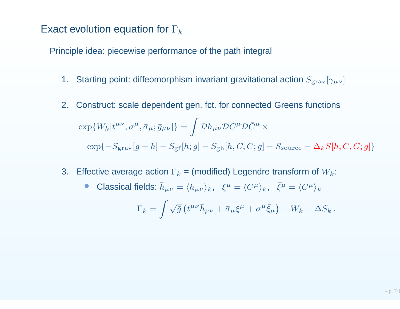Principle idea: piecewise performance of the path integral

- 1. Starting point: diffeomorphism invariant gravitational action  $S_{\textrm{grav}}[\gamma_{\mu\nu}]$
- 2. Construct: scale dependent gen. fct. for connected Greens functions $\exp\{W_k[t^{\mu\nu},\sigma^\mu,\bar\sigma_\mu;\bar g_{\mu\nu}]\}=\int {\cal D}h_{\mu\nu}{\cal D}C^\mu{\cal D}\bar C^\mu\times$  $\exp\{-S_\text{grav}[\bar{g}+h]-S_\text{gf}[h;\bar{g}]-S_\text{gh}[h,C,\bar{C};\bar{g}]-S_\text{source}-\Delta_k S[h,C,\bar{C};\bar{g}]\}$
- 3. Effective average action  $\Gamma_k$  = (modified) Legendre transform of  $W_k$ :
	- •• Classical fields:  $\bar{h}_{\mu\nu} = \langle h_{\mu\nu} \rangle_k$ ,  $\xi^{\mu} = \langle C^{\mu} \rangle_k$ ,  $\bar{\xi}^{\mu} = \langle \bar{C}^{\mu} \rangle_k$

$$
\Gamma_k = \int \sqrt{\bar{g}} \left( t^{\mu\nu} \bar{h}_{\mu\nu} + \bar{\sigma}_{\mu} \xi^{\mu} + \sigma^{\mu} \bar{\xi}_{\mu} \right) - W_k - \Delta S_k.
$$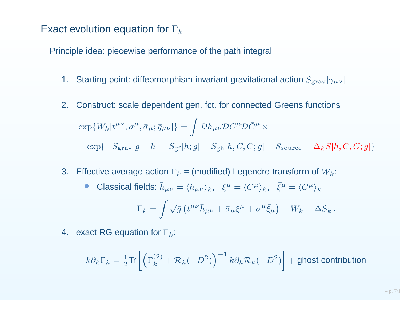Principle idea: piecewise performance of the path integral

- 1. Starting point: diffeomorphism invariant gravitational action  $S_{\textrm{grav}}[\gamma_{\mu\nu}]$
- 2. Construct: scale dependent gen. fct. for connected Greens functions $\exp\{W_k[t^{\mu\nu},\sigma^\mu,\bar\sigma_\mu;\bar g_{\mu\nu}]\}=\int {\cal D}h_{\mu\nu}{\cal D}C^\mu{\cal D}\bar C^\mu\times$  $\exp\{-S_\text{grav}[\bar{g}+h]-S_\text{gf}[h;\bar{g}]-S_\text{gh}[h,C,\bar{C};\bar{g}]-S_\text{source}-\Delta_k S[h,C,\bar{C};\bar{g}]\}$
- 3. Effective average action  $\Gamma_k$  = (modified) Legendre transform of  $W_k$ :

\n- Classical fields: 
$$
\bar{h}_{\mu\nu} = \langle h_{\mu\nu} \rangle_k
$$
,  $\xi^{\mu} = \langle C^{\mu} \rangle_k$ ,  $\bar{\xi}^{\mu} = \langle \bar{C}^{\mu} \rangle_k$
\n- $\Gamma_k = \int \sqrt{\bar{g}} \left( t^{\mu\nu} \bar{h}_{\mu\nu} + \bar{\sigma}_{\mu} \xi^{\mu} + \sigma^{\mu} \bar{\xi}_{\mu} \right) - W_k - \Delta S_k$
\n- each RG equation for  $\Gamma_k$ :
\n

4.  $\,$  exact RG equation for  $\Gamma_k$ :

$$
k\partial_k \Gamma_k = \frac{1}{2} \text{Tr} \left[ \left( \Gamma_k^{(2)} + \mathcal{R}_k(-\bar{D}^2) \right)^{-1} k \partial_k \mathcal{R}_k(-\bar{D}^2) \right] + \text{ghost contribution}
$$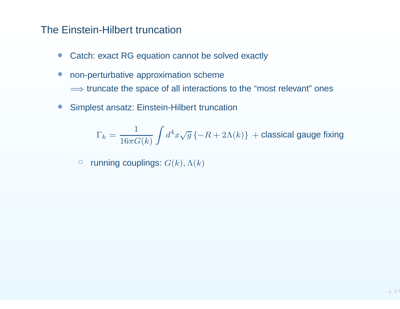#### The Einstein-Hilbert truncation

- $\bullet$ Catch: exact RG equation cannot be solved exactly
- $\bullet$  non-perturbative approximation scheme $\Longrightarrow$  truncate the space of all interactions to the "most relevant" ones
- $\bullet$ Simplest ansatz: Einstein-Hilbert truncation

$$
\Gamma_k = \frac{1}{16\pi G(k)}\int d^4x \sqrt{g}\left\{-R+2\Lambda(k)\right\}\, + \text{classical gauge fixing}
$$

 $\bigcirc$  $\circ$  running couplings:  $G(k), \Lambda(k)$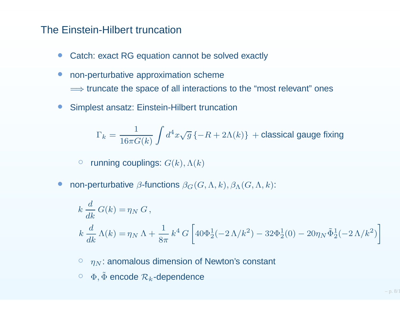#### The Einstein-Hilbert truncation

- •Catch: exact RG equation cannot be solved exactly
- • non-perturbative approximation scheme $\Longrightarrow$  truncate the space of all interactions to the "most relevant" ones
- •Simplest ansatz: Einstein-Hilbert truncation

$$
\Gamma_k = \frac{1}{16\pi G(k)}\int d^4x \sqrt{g}\left\{-R+2\Lambda(k)\right\}\, + \text{classical gauge fixing}
$$

- $\bigcirc$  $\circ$  running couplings:  $G(k), \Lambda(k)$
- •• non-perturbative  $\beta$ -functions  $\beta_G(G,\Lambda,k), \beta_\Lambda(G,\Lambda,k)$ :

$$
k \frac{d}{dk} G(k) = \eta_N G,
$$
  
\n
$$
k \frac{d}{dk} \Lambda(k) = \eta_N \Lambda + \frac{1}{8\pi} k^4 G \left[ 40\Phi_2^1(-2\Lambda/k^2) - 32\Phi_2^1(0) - 20\eta_N \tilde{\Phi}_2^1(-2\Lambda/k^2) \right]
$$
  
\n
$$
\circ \eta_N:
$$
 anomalous dimension of Newton's constant

- 
- $\circ \ \, \Phi, \tilde \Phi$  encode  $\mathcal R_k$ -dependence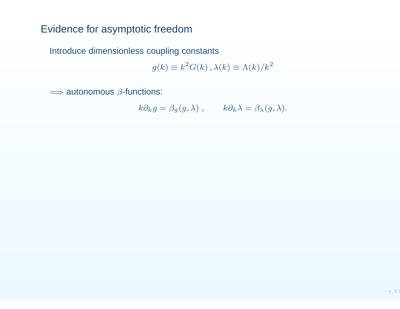# Evidence for asymptotic freedom

Introduce dimensionless coupling constants

$$
g(k) \equiv k^2 G(k), \lambda(k) \equiv \Lambda(k)/k^2
$$

 $\Longrightarrow$  autonomous  $\beta$ -functions:

$$
k\partial_k g = \beta_g(g,\lambda) , \qquad k\partial_k \lambda = \beta_\lambda(g,\lambda).
$$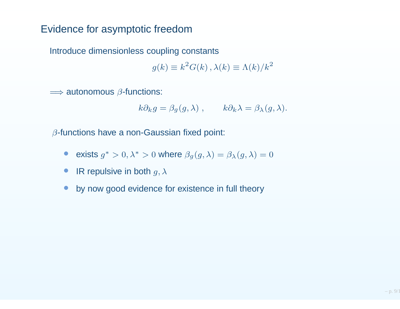### Evidence for asymptotic freedom

Introduce dimensionless coupling constants

$$
g(k) \equiv k^2 G(k), \lambda(k) \equiv \Lambda(k)/k^2
$$

 $\Longrightarrow$  autonomous  $\beta$ -functions:

$$
k\partial_k g = \beta_g(g, \lambda)
$$
,  $k\partial_k \lambda = \beta_\lambda(g, \lambda)$ .

 $\beta$ -functions have a non-Gaussian fixed point:

- •• exists  $g^*$  $^*>0,\lambda^*$ \* > 0 where  $\beta_g(g, \lambda) = \beta_{\lambda}(g, \lambda) = 0$
- $\bullet$ • IR repulsive in both  $g, \lambda$
- $\bullet$ by now good evidence for existence in full theory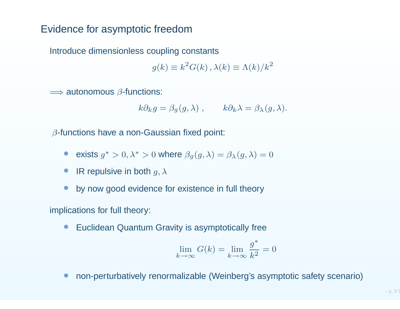### Evidence for asymptotic freedom

Introduce dimensionless coupling constants

$$
g(k) \equiv k^2 G(k), \lambda(k) \equiv \Lambda(k)/k^2
$$

 $\Longrightarrow$  autonomous  $\beta$ -functions:

$$
k\partial_k g = \beta_g(g, \lambda)
$$
,  $k\partial_k \lambda = \beta_\lambda(g, \lambda)$ .

 $\beta$ -functions have a non-Gaussian fixed point:

- •• exists  $g^*$  $^*>0,\lambda^*$ \* > 0 where  $\beta_g(g, \lambda) = \beta_{\lambda}(g, \lambda) = 0$
- •• IR repulsive in both  $g, \lambda$
- •by now good evidence for existence in full theory

implications for full theory:

•Euclidean Quantum Gravity is asymptotically free

$$
\lim_{k \to \infty} G(k) = \lim_{k \to \infty} \frac{g^*}{k^2} = 0
$$

•non-perturbatively renormalizable (Weinberg's asymptotic safety scenario)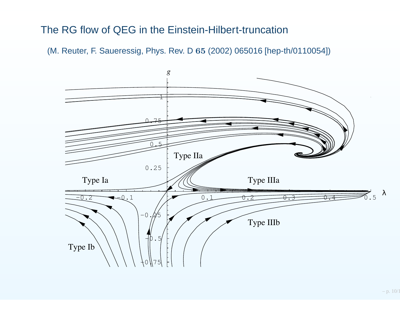#### The RG flow of QEG in the Einstein-Hilbert-truncation

(M. Reuter, F. Saueressig, Phys. Rev. D <sup>65</sup> (2002) <sup>065016</sup> [hep-th/0110054])

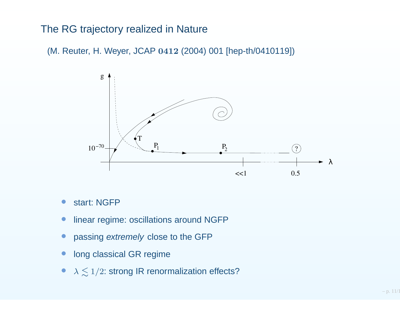#### The RG trajectory realized in Nature

(M. Reuter, H. Weyer, JCAP <sup>0412</sup> (2004) <sup>001</sup> [hep-th/0410119])



- •start: NGFP
- $\overline{\phantom{0}}$ linear regime: oscillations around NGFP
- •• passing extremely close to the GFP
- •long classical GR regime
- $\bullet$  $\lambda \lesssim 1/2$ : strong IR renormalization effects?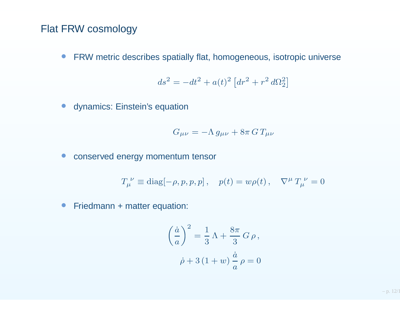#### Flat FRW cosmology

• FRW metric describes spatially flat, homogeneous, isotropic universe

$$
ds^{2} = -dt^{2} + a(t)^{2} \left[ dr^{2} + r^{2} d\Omega_{2}^{2} \right]
$$
  
equation

• dynamics: Einstein's equation

$$
G_{\mu\nu} = -\Lambda \, g_{\mu\nu} + 8\pi \, G \, T_{\mu\nu}
$$

 $\bullet$ conserved energy momentum tensor

$$
T_{\mu}^{\ \nu} \equiv \text{diag}[-\rho, p, p, p], \quad p(t) = w\rho(t), \quad \nabla^{\mu} T_{\mu}^{\ \nu} = 0
$$

 $\bullet$ Friedmann <sup>+</sup> matter equation:

$$
\left(\frac{\dot{a}}{a}\right)^2 = \frac{1}{3}\,\Lambda + \frac{8\pi}{3}\,G\,\rho\,,
$$

$$
\dot{\rho} + 3\,(1+w)\,\frac{\dot{a}}{a}\,\rho = 0
$$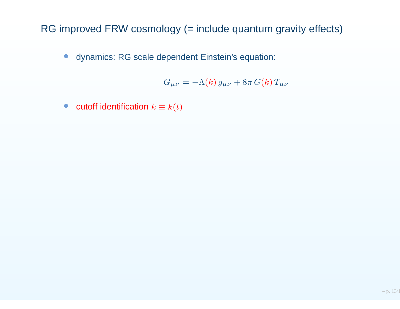RG improved FRW cosmology (= include quantum gravity effects)

 $\bullet$ dynamics: RG scale dependent Einstein's equation:

$$
G_{\mu\nu}=-\Lambda(k) g_{\mu\nu}+8\pi G(k) T_{\mu\nu}
$$

 $\bullet$ • cutoff identification  $k\equiv k(t)$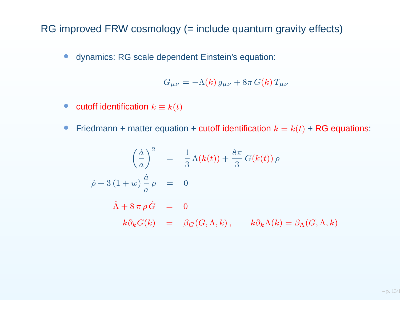RG improved FRW cosmology (= include quantum gravity effects)

 $\bullet$ dynamics: RG scale dependent Einstein's equation:

$$
G_{\mu\nu} = -\Lambda(k) g_{\mu\nu} + 8\pi G(k) T_{\mu\nu}
$$

- $\bullet$ • cutoff identification  $k\equiv k(t)$
- $\bullet$ • Friedmann + matter equation + cutoff identification  $k = k(t)$  + RG equations:

$$
\left(\frac{\dot{a}}{a}\right)^2 = \frac{1}{3}\Lambda(k(t)) + \frac{8\pi}{3}G(k(t))\rho
$$
  

$$
\dot{\rho} + 3(1+w)\frac{\dot{a}}{a}\rho = 0
$$
  

$$
\dot{\Lambda} + 8\pi\rho\dot{G} = 0
$$
  

$$
k\partial_k G(k) = \beta_G(G,\Lambda,k), \qquad k\partial_k\Lambda(k) = \beta_\Lambda(G,\Lambda,k)
$$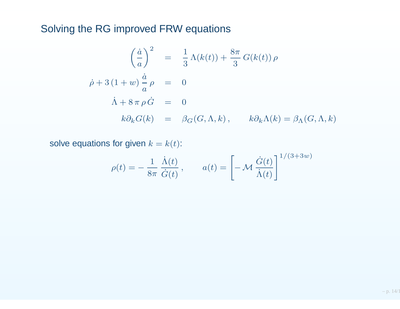# Solving the RG improved FRW equations

$$
\left(\frac{\dot{a}}{a}\right)^2 = \frac{1}{3}\Lambda(k(t)) + \frac{8\pi}{3}G(k(t))\rho
$$
  

$$
\dot{\rho} + 3(1+w)\frac{\dot{a}}{a}\rho = 0
$$
  

$$
\dot{\Lambda} + 8\pi\rho\dot{G} = 0
$$
  

$$
k\partial_k G(k) = \beta_G(G,\Lambda,k), \qquad k\partial_k\Lambda(k) = \beta_\Lambda(G,\Lambda,k)
$$

solve equations for given  $k=k(t)$ :

$$
\rho(t) = -\frac{1}{8\pi} \frac{\dot{\Lambda}(t)}{\dot{G}(t)}, \qquad a(t) = \left[ -\mathcal{M} \frac{\dot{G}(t)}{\dot{\Lambda}(t)} \right]^{1/(3+3w)}
$$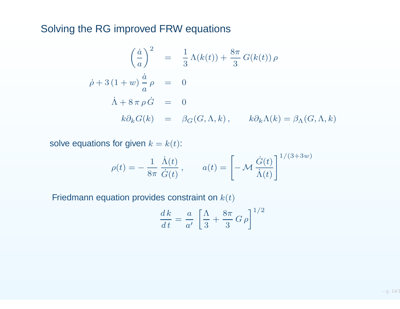## Solving the RG improved FRW equations

$$
\left(\frac{\dot{a}}{a}\right)^2 = \frac{1}{3}\Lambda(k(t)) + \frac{8\pi}{3}G(k(t))\rho
$$
  

$$
\dot{\rho} + 3(1+w)\frac{\dot{a}}{a}\rho = 0
$$
  

$$
\dot{\Lambda} + 8\pi \rho \dot{G} = 0
$$
  

$$
k\partial_k G(k) = \beta_G(G, \Lambda, k), \qquad k\partial_k \Lambda(k) = \beta_\Lambda(G, \Lambda, k)
$$

solve equations for given  $k=k(t)$ :

$$
\rho(t) = -\frac{1}{8\pi} \frac{\dot{\Lambda}(t)}{\dot{G}(t)}, \qquad a(t) = \left[ -\mathcal{M} \frac{\dot{G}(t)}{\dot{\Lambda}(t)} \right]^{1/(3+3w)}
$$
\nation provides constraint on  $k(t)$ 

Friedmann equation provides constraint on  $k(t)$ 

$$
\frac{dk}{dt} = \frac{a}{a'} \left[ \frac{\Lambda}{3} + \frac{8\pi}{3} G \rho \right]^{1/2}
$$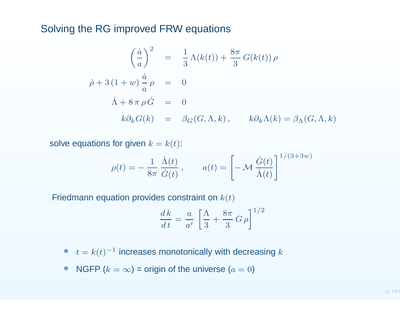#### Solving the RG improved FRW equations

$$
\left(\frac{\dot{a}}{a}\right)^2 = \frac{1}{3}\Lambda(k(t)) + \frac{8\pi}{3}G(k(t))\rho
$$
  

$$
\dot{\rho} + 3(1+w)\frac{\dot{a}}{a}\rho = 0
$$
  

$$
\dot{\Lambda} + 8\pi \rho \dot{G} = 0
$$
  

$$
k\partial_k G(k) = \beta_G(G, \Lambda, k), \qquad k\partial_k \Lambda(k) = \beta_\Lambda(G, \Lambda, k)
$$

solve equations for given  $k=k(t)$ :

$$
\rho(t) = -\frac{1}{8\pi} \frac{\dot{\Lambda}(t)}{\dot{G}(t)}, \qquad a(t) = \left[ -\mathcal{M} \frac{\dot{G}(t)}{\dot{\Lambda}(t)} \right]^{1/(3+3w)}
$$
\nation provides constraint on  $k(t)$ 

Friedmann equation provides constraint on  $k(t)$ 

$$
\frac{dk}{dt} = \frac{a}{a'} \left[ \frac{\Lambda}{3} + \frac{8\pi}{3} G \rho \right]^{1/2}
$$

- $\bullet\quad t=k(t)^{-1}$  increases monotonically with decreasing  $k$
- $\bullet$ • NGFP  $(k = \infty)$  = origin of the universe  $(a = 0)$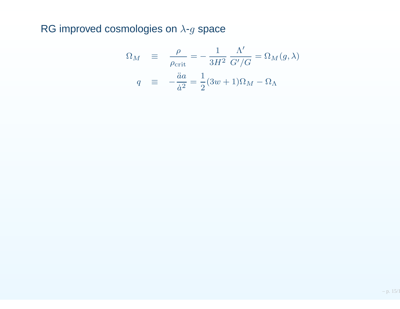RG improved cosmologies on  $\lambda$ - $g$  space

$$
\Omega_M \equiv \frac{\rho}{\rho_{\text{crit}}} = -\frac{1}{3H^2} \frac{\Lambda'}{G'/G} = \Omega_M(g, \lambda)
$$
  

$$
q \equiv -\frac{\ddot{a}a}{\dot{a}^2} = \frac{1}{2}(3w+1)\Omega_M - \Omega_\Lambda
$$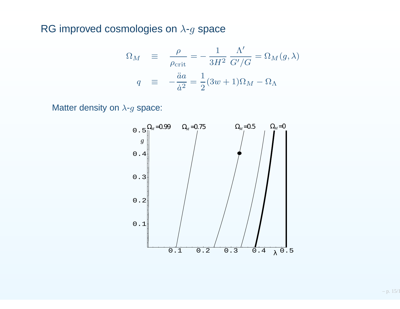RG improved cosmologies on  $\lambda$ - $g$  space

$$
\Omega_M \equiv \frac{\rho}{\rho_{\text{crit}}} = -\frac{1}{3H^2} \frac{\Lambda'}{G'/G} = \Omega_M(g, \lambda)
$$
  

$$
q \equiv -\frac{\ddot{a}a}{\dot{a}^2} = \frac{1}{2}(3w+1)\Omega_M - \Omega_\Lambda
$$

Matter density on  $\lambda$ - $g$  space:

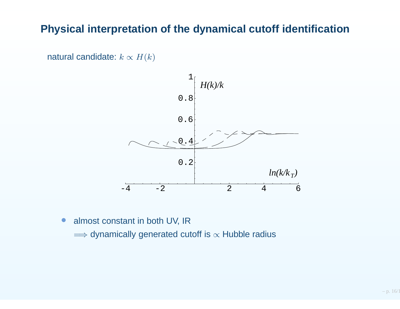## **Physical interpretation of the dynamical cutoff identification**

natural candidate:  $k \propto H(k)$ 



 $\bullet$ almost constant in both UV, IR

 $\Longrightarrow$  dynamically generated cutoff is  $\propto$  Hubble radius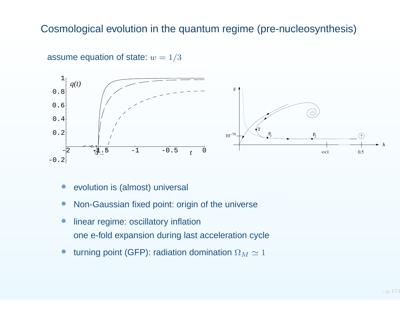#### Cosmological evolution in the quantum regime (pre-nucleosynthesis)



assume equation of state:  $w=1/3$ 

- $\bullet$ evolution is (almost) universal
- $\bigcirc$ Non-Gaussian fixed point: origin of the universe
- • linear regime: oscillatory inflationone e-fold expansion during last acceleration cycle
- $\bullet$  $\bullet$  turning point (GFP): radiation domination  $\Omega_M\simeq1$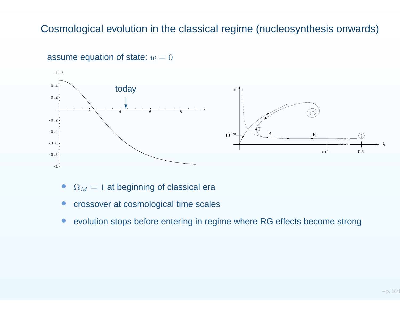### Cosmological evolution in the classical regime (nucleosynthesis onwards)



# assume equation of state:  $w=0$

- $\bullet$  $\Omega_M=1$  at beginning of classical era
- $\bigcirc$ crossover at cosmological time scales
- $\bullet$ evolution stops before entering in regime where RG effects become strong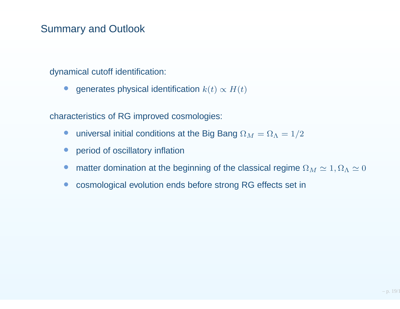# Summary and Outlook

dynamical cutoff identification:

 $\bullet$ ● generates physical identification  $k(t) \propto H(t)$ 

characteristics of RG improved cosmologies:

- $\bullet$ • universal initial conditions at the Big Bang  $\Omega_M = \Omega_\Lambda = 1/2$
- $\bullet$ period of oscillatory inflation
- $\bullet$ • matter domination at the beginning of the classical regime  $\Omega_M \simeq 1, \Omega_\Lambda \simeq 0$
- $\bullet$ cosmological evolution ends before strong RG effects set in